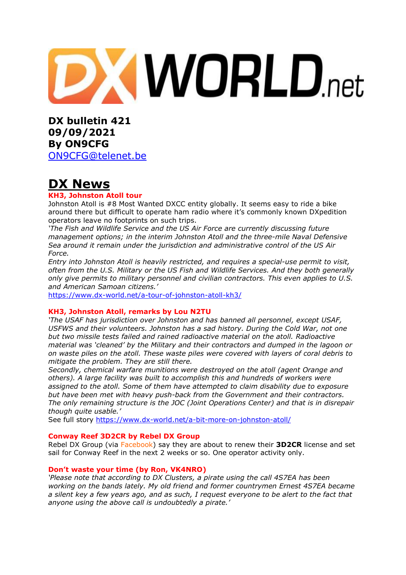# **XWORLD.net**

**DX bulletin 421 09/09/2021 By ON9CFG** 

[ON9CFG@telenet.be](mailto:ON9CFG@telenet.be)

# **DX News**

## **KH3, Johnston Atoll tour**

Johnston Atoll is #8 Most Wanted DXCC entity globally. It seems easy to ride a bike around there but difficult to operate ham radio where it's commonly known DXpedition operators leave no footprints on such trips.

*'The Fish and Wildlife Service and the US Air Force are currently discussing future management options; in the interim Johnston Atoll and the three-mile Naval Defensive Sea around it remain under the jurisdiction and administrative control of the US Air Force.*

*Entry into Johnston Atoll is heavily restricted, and requires a special-use permit to visit, often from the U.S. Military or the US Fish and Wildlife Services. And they both generally only give permits to military personnel and civilian contractors. This even applies to U.S. and American Samoan citizens.'*

<https://www.dx-world.net/a-tour-of-johnston-atoll-kh3/>

#### **KH3, Johnston Atoll, remarks by Lou N2TU**

*'The USAF has jurisdiction over Johnston and has banned all personnel, except USAF, USFWS and their volunteers. Johnston has a sad history. During the Cold War, not one but two missile tests failed and rained radioactive material on the atoll. Radioactive material was 'cleaned' by the Military and their contractors and dumped in the lagoon or on waste piles on the atoll. These waste piles were covered with layers of coral debris to mitigate the problem. They are still there.*

*Secondly, chemical warfare munitions were destroyed on the atoll (agent Orange and others). A large facility was built to accomplish this and hundreds of workers were assigned to the atoll. Some of them have attempted to claim disability due to exposure but have been met with heavy push-back from the Government and their contractors. The only remaining structure is the JOC (Joint Operations Center) and that is in disrepair though quite usable.'*

See full story <https://www.dx-world.net/a-bit-more-on-johnston-atoll/>

#### **Conway Reef 3D2CR by Rebel DX Group**

Rebel DX Group (via [Facebook\)](https://www.facebook.com/rebeldxgroup/) say they are about to renew their **3D2CR** license and set sail for Conway Reef in the next 2 weeks or so. One operator activity only.

#### **Don't waste your time (by Ron, VK4NRO)**

*'Please note that according to DX Clusters, a pirate using the call 4S7EA has been working on the bands lately. My old friend and former countrymen Ernest 4S7EA became* a silent key a few years ago, and as such, I request everyone to be alert to the fact that *anyone using the above call is undoubtedly a pirate.'*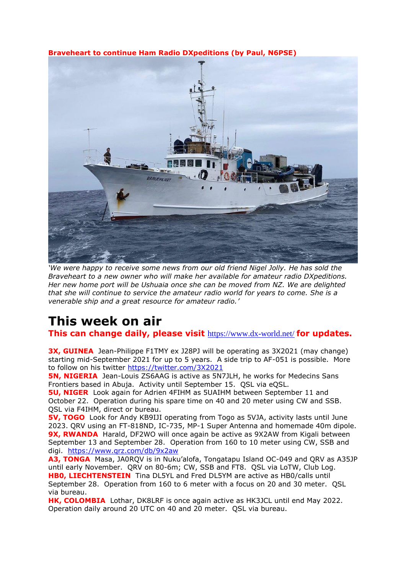## **Braveheart to continue Ham Radio DXpeditions (by Paul, N6PSE)**



*'We were happy to receive some news from our old friend Nigel Jolly. He has sold the Braveheart to a new owner who will make her available for amateur radio DXpeditions. Her new home port will be Ushuaia once she can be moved from NZ. We are delighted that she will continue to service the amateur radio world for years to come. She is a venerable ship and a great resource for amateur radio.'*

# **This week on air**

**This can change daily, please visit** <https://www.dx-world.net/> **for updates.**

**3X, GUINEA** Jean-Philippe F1TMY ex J28PJ will be operating as 3X2021 (may change) starting mid-September 2021 for up to 5 years. A side trip to AF-051 is possible. More to follow on his twitter<https://twitter.com/3X2021>

**5N, NIGERIA** Jean-Louis ZS6AAG is active as 5N7JLH, he works for Medecins Sans Frontiers based in Abuja. Activity until September 15. QSL via eQSL.

**5U, NIGER** Look again for Adrien 4FIHM as 5UAIHM between September 11 and October 22. Operation during his spare time on 40 and 20 meter using CW and SSB. QSL via F4IHM, direct or bureau.

**5V, TOGO** Look for Andy KB9IJI operating from Togo as 5VJA, activity lasts until June 2023. QRV using an FT-818ND, IC-735, MP-1 Super Antenna and homemade 40m dipole. **9X, RWANDA** Harald, DF2WO will once again be active as 9X2AW from Kigali between September 13 and September 28. Operation from 160 to 10 meter using CW, SSB and digi. <https://www.qrz.com/db/9x2aw>

**A3, TONGA** Masa, JA0RQV is in Nuku'alofa, Tongatapu Island OC-049 and QRV as A35JP until early November. QRV on 80-6m; CW, SSB and FT8. QSL via LoTW, Club Log. **HB0, LIECHTENSTEIN** Tina DL5YL and Fred DL5YM are active as HB0/calls until September 28. Operation from 160 to 6 meter with a focus on 20 and 30 meter. QSL via bureau.

**HK, COLOMBIA** Lothar, DK8LRF is once again active as HK3JCL until end May 2022. Operation daily around 20 UTC on 40 and 20 meter. QSL via bureau.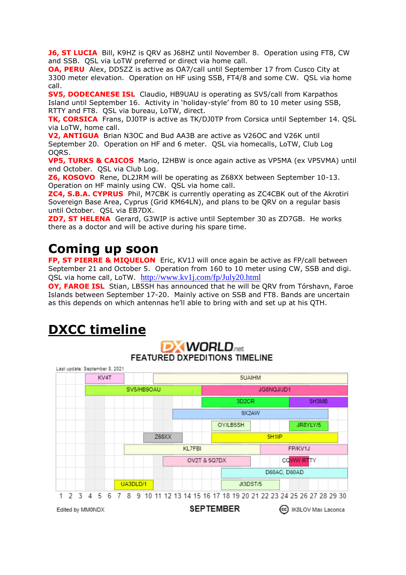**J6, ST LUCIA** Bill, K9HZ is QRV as J68HZ until November 8. Operation using FT8, CW and SSB. QSL via LoTW preferred or direct via home call.

**OA, PERU** Alex, DD5ZZ is active as OA7/call until September 17 from Cusco City at 3300 meter elevation. Operation on HF using SSB, FT4/8 and some CW. QSL via home call.

**SV5, DODECANESE ISL** Claudio, HB9UAU is operating as SV5/call from Karpathos Island until September 16. Activity in 'holiday-style' from 80 to 10 meter using SSB, RTTY and FT8. OSL via bureau, LoTW, direct.

**TK, CORSICA** Frans, DJ0TP is active as TK/DJ0TP from Corsica until September 14. QSL via LoTW, home call.

**V2, ANTIGUA** Brian N3OC and Bud AA3B are active as V26OC and V26K until September 20. Operation on HF and 6 meter. QSL via homecalls, LoTW, Club Log OQRS.

**VP5, TURKS & CAICOS** Mario, I2HBW is once again active as VP5MA (ex VP5VMA) until end October. QSL via Club Log.

**Z6, KOSOVO** Rene, DL2JRM will be operating as Z68XX between September 10-13. Operation on HF mainly using CW. QSL via home call.

**ZC4, S.B.A. CYPRUS** Phil, M7CBK is currently operating as ZC4CBK out of the Akrotiri Sovereign Base Area, Cyprus (Grid KM64LN), and plans to be QRV on a regular basis until October. QSL via EB7DX.

**ZD7, ST HELENA** Gerard, G3WIP is active until September 30 as ZD7GB. He works there as a doctor and will be active during his spare time.

# **Coming up soon**

**FP, ST PIERRE & MIQUELON** Eric, KV1J will once again be active as FP/call between September 21 and October 5. Operation from 160 to 10 meter using CW, SSB and digi. QSL via home call, LoTW. <http://www.kv1j.com/fp/July20.html>

**OY, FAROE ISL** Stian, LB5SH has announced that he will be QRV from Tórshavn, Faroe Islands between September 17-20. Mainly active on SSB and FT8. Bands are uncertain as this depends on which antennas he'll able to bring with and set up at his QTH.

# **DXCC timeline**

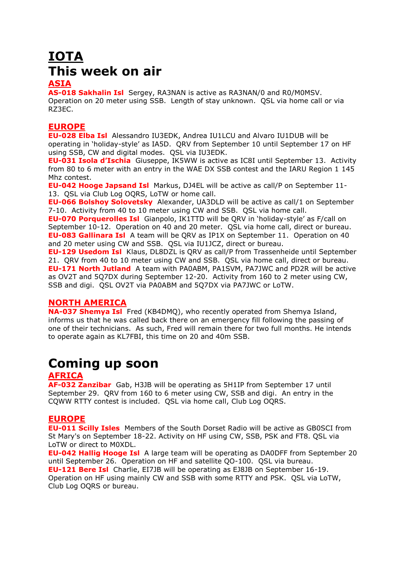# **IOTA This week on air**

## **ASIA**

**AS-018 Sakhalin Isl** Sergey, RA3NAN is active as RA3NAN/0 and R0/M0MSV. Operation on 20 meter using SSB. Length of stay unknown. QSL via home call or via RZ3EC.

## **EUROPE**

**EU-028 Elba Isl** Alessandro IU3EDK, Andrea IU1LCU and Alvaro IU1DUB will be operating in 'holiday-style' as IA5D. QRV from September 10 until September 17 on HF using SSB, CW and digital modes. QSL via IU3EDK.

**EU-031 Isola d'Ischia** Giuseppe, IK5WW is active as IC8I until September 13. Activity from 80 to 6 meter with an entry in the WAE DX SSB contest and the IARU Region 1 145 Mhz contest.

**EU-042 Hooge Japsand Isl** Markus, DJ4EL will be active as call/P on September 11- 13. QSL via Club Log OQRS, LoTW or home call.

**EU-066 Bolshoy Solovetsky** Alexander, UA3DLD will be active as call/1 on September 7-10. Activity from 40 to 10 meter using CW and SSB. QSL via home call.

**EU-070 Porquerolles Isl** Gianpolo, IK1TTD will be QRV in 'holiday-style' as F/call on September 10-12. Operation on 40 and 20 meter. QSL via home call, direct or bureau. **EU-083 Gallinara Isl** A team will be QRV as IP1X on September 11. Operation on 40 and 20 meter using CW and SSB. QSL via IU1JCZ, direct or bureau.

**EU-129 Usedom Isl** Klaus, DL8DZL is QRV as call/P from Trassenheide until September 21. QRV from 40 to 10 meter using CW and SSB. QSL via home call, direct or bureau. **EU-171 North Jutland** A team with PA0ABM, PA1SVM, PA7JWC and PD2R will be active as OV2T and 5Q7DX during September 12-20. Activity from 160 to 2 meter using CW, SSB and digi. QSL OV2T via PA0ABM and 5Q7DX via PA7JWC or LoTW.

## **NORTH AMERICA**

**NA-037 Shemya Isl** Fred (KB4DMQ), who recently operated from Shemya Island, informs us that he was called back there on an emergency fill following the passing of one of their technicians. As such, Fred will remain there for two full months. He intends to operate again as KL7FBI, this time on 20 and 40m SSB.

## **Coming up soon**

## **AFRICA**

**AF-032 Zanzibar** Gab, H3JB will be operating as 5H1IP from September 17 until September 29. QRV from 160 to 6 meter using CW, SSB and digi. An entry in the CQWW RTTY contest is included. QSL via home call, Club Log OQRS.

## **EUROPE**

**EU-011 Scilly Isles** Members of the South Dorset Radio will be active as GB0SCI from St Mary's on September 18-22. Activity on HF using CW, SSB, PSK and FT8. QSL via LoTW or direct to M0XDL.

**EU-042 Hallig Hooge Isl** A large team will be operating as DA0DFF from September 20 until September 26. Operation on HF and satellite QO-100. QSL via bureau. **EU-121 Bere Isl** Charlie, EI7JB will be operating as EJ8JB on September 16-19. Operation on HF using mainly CW and SSB with some RTTY and PSK. QSL via LoTW, Club Log OQRS or bureau.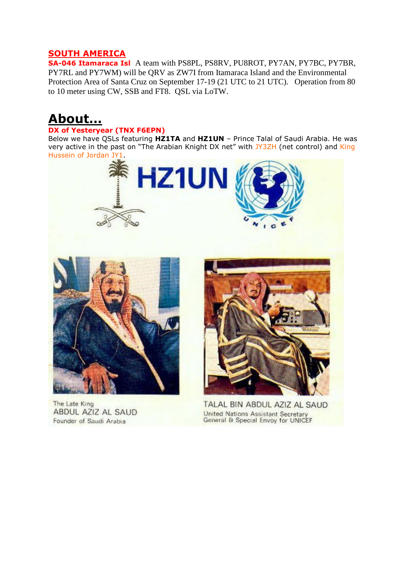## **SOUTH AMERICA**

**SA-046 Itamaraca Isl** A team with PS8PL, PS8RV, PU8ROT, PY7AN, PY7BC, PY7BR, PY7RL and PY7WM) will be QRV as ZW7I from Itamaraca Island and the Environmental Protection Area of Santa Cruz on September 17-19 (21 UTC to 21 UTC). Operation from 80 to 10 meter using CW, SSB and FT8. QSL via LoTW.

# **About…**

#### **DX of Yesteryear (TNX F6EPN)**

Below we have QSLs featuring **HZ1TA** and **HZ1UN** – Prince Talal of Saudi Arabia. He was very active in the past on "The Arabian Knight DX net" with [JY3ZH](https://twitter.com/DX_World/status/1430448564111564800/photo/1) (net control) and [King](https://www.dx-world.net/todays-qsl-of-the-day-2/) [Hussein](https://www.dx-world.net/todays-qsl-of-the-day-2/) of Jordan JY1.

**HZ1UN** 



The Late King **ABDUL AZIZ AL SAUD** Founder of Saudi Arabia



TALAL BIN ABDUL AZIZ AL SAUD United Nations Assistant Secretary General & Special Envoy for UNICEF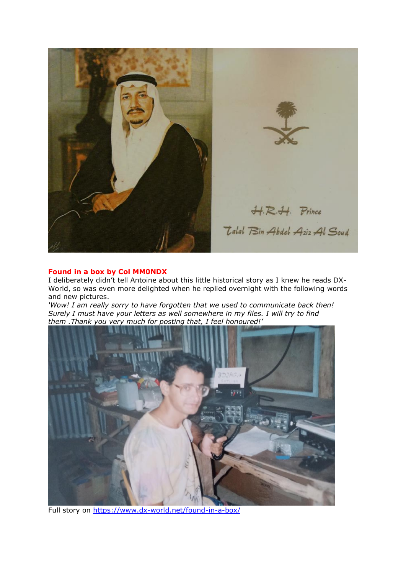

#### **Found in a box by Col MM0NDX**

I deliberately didn't tell Antoine about this little historical story as I knew he reads DX-World, so was even more delighted when he replied overnight with the following words and new pictures.

*'Wow! I am really sorry to have forgotten that we used to communicate back then! Surely I must have your letters as well somewhere in my files. I will try to find them .Thank you very much for posting that, I feel honoured!'*



Full story on<https://www.dx-world.net/found-in-a-box/>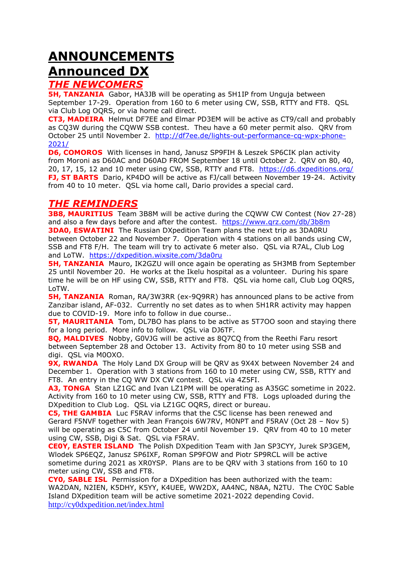# **ANNOUNCEMENTS**

# **Announced DX**

## *THE NEWCOMERS*

**5H, TANZANIA** Gabor, HA3JB will be operating as 5H1IP from Unguja between September 17-29. Operation from 160 to 6 meter using CW, SSB, RTTY and FT8. QSL via Club Log OQRS, or via home call direct.

**CT3, MADEIRA** Helmut DF7EE and Elmar PD3EM will be active as CT9/call and probably as CQ3W during the CQWW SSB contest. Theu have a 60 meter permit also. QRV from October 25 until November 2. [http://df7ee.de/lights-out-performance-cq-wpx-phone-](http://df7ee.de/lights-out-performance-cq-wpx-phone-2021/)[2021/](http://df7ee.de/lights-out-performance-cq-wpx-phone-2021/)

**D6, COMOROS** With licenses in hand, Janusz SP9FIH & Leszek SP6CIK plan activity from Moroni as D60AC and D60AD FROM September 18 until October 2. QRV on 80, 40, 20, 17, 15, 12 and 10 meter using CW, SSB, RTTY and FT8. <https://d6.dxpeditions.org/> **FJ, ST BARTS** Dario, KP4DO will be active as FJ/call between November 19-24. Activity from 40 to 10 meter. QSL via home call, Dario provides a special card.

## *THE REMINDERS*

**3B8, MAURITIUS** Team 3B8M will be active during the CQWW CW Contest (Nov 27-28) and also a few days before and after the contest. https://www.grz.com/db/3b8m **3DA0, ESWATINI** The Russian DXpedition Team plans the next trip as 3DA0RU between October 22 and November 7. Operation with 4 stations on all bands using CW, SSB and FT8 F/H. The team will try to activate 6 meter also. QSL via R7AL, Club Log and LoTW. <https://dxpedition.wixsite.com/3da0ru>

**5H, TANZANIA** Mauro, IK2GZU will once again be operating as 5H3MB from September 25 until November 20. He works at the Ikelu hospital as a volunteer. During his spare time he will be on HF using CW, SSB, RTTY and FT8. QSL via home call, Club Log OQRS, LoTW.

**5H, TANZANIA** Roman, RA/3W3RR (ex-909RR) has announced plans to be active from Zanzibar island, AF-032. Currently no set dates as to when 5H1RR activity may happen due to COVID-19. More info to follow in due course..

**5T, MAURITANIA** Tom, DL7BO has plans to be active as 5T700 soon and staving there for a long period. More info to follow. QSL via DJ6TF.

**8Q, MALDIVES** Nobby, G0VJG will be active as 8Q7CQ from the Reethi Faru resort between September 28 and October 13. Activity from 80 to 10 meter using SSB and digi. QSL via M0OXO.

**9X, RWANDA** The Holy Land DX Group will be QRV as 9X4X between November 24 and December 1. Operation with 3 stations from 160 to 10 meter using CW, SSB, RTTY and FT8. An entry in the CQ WW DX CW contest. QSL via 4Z5FI.

**A3, TONGA** Stan LZ1GC and Ivan LZ1PM will be operating as A35GC sometime in 2022. Activity from 160 to 10 meter using CW, SSB, RTTY and FT8. Logs uploaded during the DXpedition to Club Log. QSL via LZ1GC OQRS, direct or bureau.

**C5, THE GAMBIA** Luc F5RAV informs that the C5C license has been renewed and Gerard F5NVF together with Jean François 6W7RV, M0NPT and F5RAV (Oct 28 – Nov 5) will be operating as C5C from October 24 until November 19. QRV from 40 to 10 meter using CW, SSB, Digi & Sat. QSL via F5RAV.

**CE0Y, EASTER ISLAND** The Polish DXpedition Team with Jan SP3CYY, Jurek SP3GEM, Wlodek SP6EQZ, Janusz SP6IXF, Roman SP9FOW and Piotr SP9RCL will be active sometime during 2021 as XR0YSP. Plans are to be QRV with 3 stations from 160 to 10 meter using CW, SSB and FT8.

**CY0, SABLE ISL** Permission for a DXpedition has been authorized with the team: WA2DAN, N2IEN, K5DHY, K5YY, K4UEE, WW2DX, AA4NC, N8AA, N2TU. The CY0C Sable Island DXpedition team will be active sometime 2021-2022 depending Covid. <http://cy0dxpedition.net/index.html>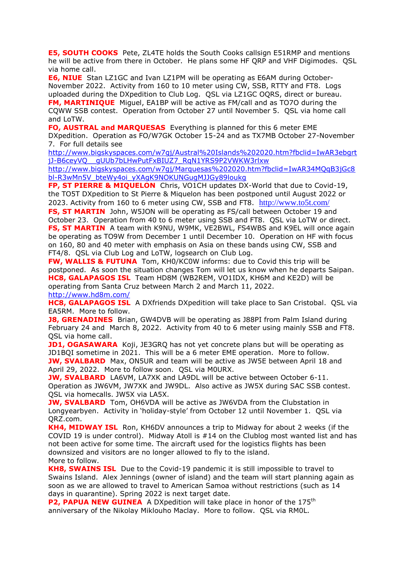**E5, SOUTH COOKS** Pete, ZL4TE holds the South Cooks callsign E51RMP and mentions he will be active from there in October. He plans some HF QRP and VHF Digimodes. QSL via home call.

**E6, NIUE** Stan LZ1GC and Ivan LZ1PM will be operating as E6AM during October-November 2022. Activity from 160 to 10 meter using CW, SSB, RTTY and FT8. Logs uploaded during the DXpedition to Club Log. QSL via LZ1GC OQRS, direct or bureau. **FM, MARTINIQUE** Miguel, EA1BP will be active as FM/call and as TO7O during the CQWW SSB contest. Operation from October 27 until November 5. QSL via home call and LoTW.

**FO, AUSTRAL and MARQUESAS** Everything is planned for this 6 meter EME DXpedition. Operation as FO/W7GK October 15-24 and as TX7MB October 27-November 7. For full details see

[http://www.bigskyspaces.com/w7gj/Austral%20Islands%202020.htm?fbclid=IwAR3ebgrt](http://www.bigskyspaces.com/w7gj/Austral%20Islands%202020.htm?fbclid=IwAR3ebgrtjJ-B6ceyVQ__gUUb7bLHwPutFxBIUZ7_RqN1YRS9P2VWKW3rlxw) [jJ-B6ceyVQ\\_\\_gUUb7bLHwPutFxBIUZ7\\_RqN1YRS9P2VWKW3rlxw](http://www.bigskyspaces.com/w7gj/Austral%20Islands%202020.htm?fbclid=IwAR3ebgrtjJ-B6ceyVQ__gUUb7bLHwPutFxBIUZ7_RqN1YRS9P2VWKW3rlxw)

[http://www.bigskyspaces.com/w7gj/Marquesas%202020.htm?fbclid=IwAR34MQqB3jGc8](http://www.bigskyspaces.com/w7gj/Marquesas%202020.htm?fbclid=IwAR34MQqB3jGc8bl-R3wMn5V_bteWy4oi_yXAgK9NOKUNGugMJJGy89loukg) [bl-R3wMn5V\\_bteWy4oi\\_yXAgK9NOKUNGugMJJGy89loukg](http://www.bigskyspaces.com/w7gj/Marquesas%202020.htm?fbclid=IwAR34MQqB3jGc8bl-R3wMn5V_bteWy4oi_yXAgK9NOKUNGugMJJGy89loukg)

**FP, ST PIERRE & MIQUELON** Chris, VO1CH updates DX-World that due to Covid-19, the TO5T DXpedition to St Pierre & Miquelon has been postponed until August 2022 or 2023. Activity from 160 to 6 meter using CW, SSB and FT8. <http://www.to5t.com/>

**FS, ST MARTIN** John, W5JON will be operating as FS/call between October 19 and October 23. Operation from 40 to 6 meter using SSB and FT8. QSL via LoTW or direct. **FS, ST MARTIN** A team with K9NU, W9MK, VE2BWL, FS4WBS and K9EL will once again be operating as TO9W from December 1 until December 10. Operation on HF with focus on 160, 80 and 40 meter with emphasis on Asia on these bands using CW, SSB and FT4/8. QSL via Club Log and LoTW, logsearch on Club Log.

**FW, WALLIS & FUTUNA** Tom, KH0/KC0W informs: due to Covid this trip will be postponed. As soon the situation changes Tom will let us know when he departs Saipan. **HC8, GALAPAGOS ISL** Team HD8M (WB2REM, VO1IDX, KH6M and KE2D) will be operating from Santa Cruz between March 2 and March 11, 2022. <http://www.hd8m.com/>

**HC8, GALAPAGOS ISL** A DXfriends DXpedition will take place to San Cristobal. OSL via EA5RM. More to follow.

**J8, GRENADINES** Brian, GW4DVB will be operating as J88PI from Palm Island during February 24 and March 8, 2022. Activity from 40 to 6 meter using mainly SSB and FT8. QSL via home call.

**JD1, OGASAWARA** Koji, JE3GRQ has not yet concrete plans but will be operating as JD1BQI sometime in 2021. This will be a 6 meter EME operation. More to follow. **JW, SVALBARD** Max, ON5UR and team will be active as JW5E between April 18 and April 29, 2022. More to follow soon. QSL via M0URX.

**JW, SVALBARD** LA6VM, LA7XK and LA9DL will be active between October 6-11. Operation as JW6VM, JW7XK and JW9DL. Also active as JW5X during SAC SSB contest. QSL via homecalls. JW5X via LA5X.

**JW, SVALBARD** Tom, OH6VDA will be active as JW6VDA from the Clubstation in Longyearbyen. Activity in 'holiday-style' from October 12 until November 1. QSL via QRZ.com.

**KH4, MIDWAY ISL** Ron, KH6DV announces a trip to Midway for about 2 weeks (if the COVID 19 is under control). Midway Atoll is #14 on the Clublog most wanted list and has not been active for some time. The aircraft used for the logistics flights has been downsized and visitors are no longer allowed to fly to the island. More to follow.

**KH8, SWAINS ISL** Due to the Covid-19 pandemic it is still impossible to travel to Swains Island. Alex Jennings (owner of island) and the team will start planning again as soon as we are allowed to travel to American Samoa without restrictions (such as 14 days in quarantine). Spring 2022 is next target date.

**P2, PAPUA NEW GUINEA** A DXpedition will take place in honor of the 175<sup>th</sup> anniversary of the Nikolay Miklouho Maclay. More to follow. QSL via RM0L.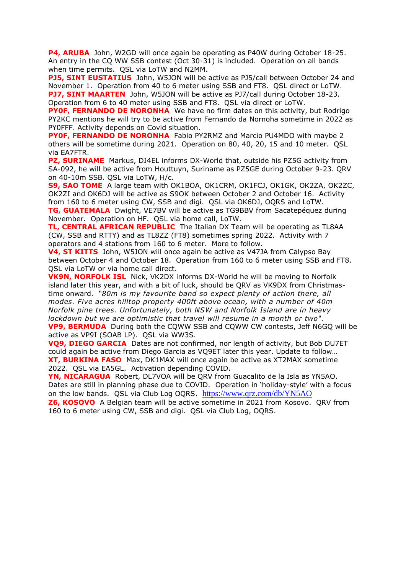**P4, ARUBA** John, W2GD will once again be operating as P40W during October 18-25. An entry in the CQ WW SSB contest (Oct 30-31) is included. Operation on all bands when time permits. QSL via LoTW and N2MM.

**PJ5, SINT EUSTATIUS** John, W5JON will be active as PJ5/call between October 24 and November 1. Operation from 40 to 6 meter using SSB and FT8. QSL direct or LoTW. **PJ7, SINT MAARTEN** John, W5JON will be active as PJ7/call during October 18-23. Operation from 6 to 40 meter using SSB and FT8. QSL via direct or LoTW.

**PYOF, FERNANDO DE NORONHA** We have no firm dates on this activity, but Rodrigo PY2KC mentions he will try to be active from Fernando da Nornoha sometime in 2022 as PY0FFF. Activity depends on Covid situation.

**PY0F, FERNANDO DE NORONHA** Fabio PY2RMZ and Marcio PU4MDO with maybe 2 others will be sometime during 2021. Operation on 80, 40, 20, 15 and 10 meter. QSL via EA7FTR.

**PZ, SURINAME** Markus, DJ4EL informs DX-World that, outside his PZ5G activity from SA-092, he will be active from Houttuyn, Suriname as PZ5GE during October 9-23. QRV on 40-10m SSB. QSL via LoTW, H/c.

**S9, SAO TOME** A large team with OK1BOA, OK1CRM, OK1FCJ, OK1GK, OK2ZA, OK2ZC, OK2ZI and OK6DJ will be active as S9OK between October 2 and October 16. Activity from 160 to 6 meter using CW, SSB and digi. QSL via OK6DJ, OQRS and LoTW. **TG, GUATEMALA** Dwight, VE7BV will be active as TG9BBV from Sacatepéquez during

November. Operation on HF. QSL via home call, LoTW.

**TL, CENTRAL AFRICAN REPUBLIC** The Italian DX Team will be operating as TL8AA (CW, SSB and RTTY) and as TL8ZZ (FT8) sometimes spring 2022. Activity with 7 operators and 4 stations from 160 to 6 meter. More to follow.

**V4, ST KITTS** John, W5JON will once again be active as V47JA from Calypso Bay between October 4 and October 18. Operation from 160 to 6 meter using SSB and FT8. QSL via LoTW or via home call direct.

**VK9N, NORFOLK ISL** Nick, VK2DX informs DX-World he will be moving to Norfolk island later this year, and with a bit of luck, should be QRV as VK9DX from Christmastime onward. *"80m is my favourite band so expect plenty of action there, all modes. Five acres hilltop property 400ft above ocean, with a number of 40m Norfolk pine trees. Unfortunately, both NSW and Norfolk Island are in heavy lockdown but we are optimistic that travel will resume in a month or two".*

**VP9, BERMUDA** During both the CQWW SSB and CQWW CW contests, Jeff N6GQ will be active as VP9I (SOAB LP). QSL via WW3S.

**VQ9, DIEGO GARCIA** Dates are not confirmed, nor length of activity, but Bob DU7ET could again be active from Diego Garcia as VQ9ET later this year. Update to follow… **XT, BURKINA FASO** Max, DK1MAX will once again be active as XT2MAX sometime 2022. QSL via EA5GL. Activation depending COVID.

**YN, NICARAGUA** Robert, DL7VOA will be QRV from Guacalito de la Isla as YN5AO. Dates are still in planning phase due to COVID. Operation in 'holiday-style' with a focus on the low bands. QSL via Club Log OQRS. <https://www.qrz.com/db/YN5AO>

**Z6, KOSOVO** A Belgian team will be active sometime in 2021 from Kosovo. QRV from 160 to 6 meter using CW, SSB and digi. QSL via Club Log, OQRS.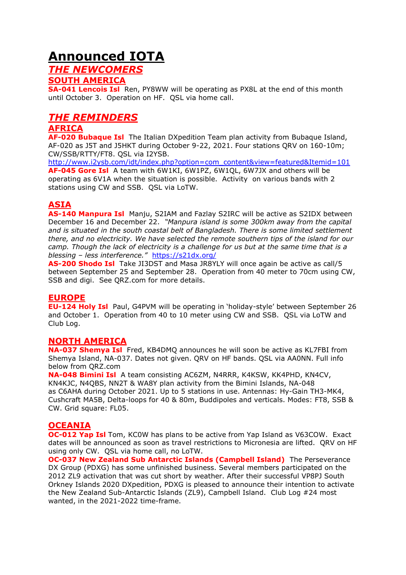# **Announced IOTA**

## *THE NEWCOMERS*

## **SOUTH AMERICA**

**SA-041 Lencois Isl** Ren, PY8WW will be operating as PX8L at the end of this month until October 3. Operation on HF. QSL via home call.

## *THE REMINDERS*

## **AFRICA**

**AF-020 Bubaque Isl** The Italian DXpedition Team plan activity from Bubaque Island, AF-020 as J5T and J5HKT during October 9-22, 2021. Four stations QRV on 160-10m; CW/SSB/RTTY/FT8. QSL via I2YSB.

[http://www.i2ysb.com/idt/index.php?option=com\\_content&view=featured&Itemid=101](http://www.i2ysb.com/idt/index.php?option=com_content&view=featured&Itemid=101) **AF-045 Gore Isl** A team with 6W1KI, 6W1PZ, 6W1QL, 6W7JX and others will be operating as 6V1A when the situation is possible. Activity on various bands with 2 stations using CW and SSB. QSL via LoTW.

## **ASIA**

**AS-140 Manpura Isl** Manju, S2IAM and Fazlay S2IRC will be active as S2IDX between December 16 and December 22. *"Manpura island is some 300km away from the capital and is situated in the south coastal belt of Bangladesh. There is some limited settlement there, and no electricity. We have selected the remote southern tips of the island for our camp. Though the lack of electricity is a challenge for us but at the same time that is a blessing – less interference."* <https://s21dx.org/>

**AS-200 Shodo Isl** Take JI3DST and Masa JR8YLY will once again be active as call/5 between September 25 and September 28. Operation from 40 meter to 70cm using CW, SSB and digi. See QRZ.com for more details.

## **EUROPE**

**EU-124 Holy Isl** Paul, G4PVM will be operating in 'holiday-style' between September 26 and October 1. Operation from 40 to 10 meter using CW and SSB. QSL via LoTW and Club Log.

## **NORTH AMERICA**

**NA-037 Shemya Isl** Fred, KB4DMQ announces he will soon be active as KL7FBI from Shemya Island, NA-037. Dates not given. QRV on HF bands. QSL via AA0NN. Full info below from QRZ.com

**NA-048 Bimini Isl** A team consisting AC6ZM, N4RRR, K4KSW, KK4PHD, KN4CV, KN4KJC, N4QBS, NN2T & WA8Y plan activity from the Bimini Islands, NA-048 as C6AHA during October 2021. Up to 5 stations in use. Antennas: Hy-Gain TH3-MK4, Cushcraft MA5B, Delta-loops for 40 & 80m, Buddipoles and verticals. Modes: FT8, SSB & CW. Grid square: FL05.

## **OCEANIA**

**OC-012 Yap Isl** Tom, KC0W has plans to be active from Yap Island as V63COW. Exact dates will be announced as soon as travel restrictions to Micronesia are lifted. QRV on HF using only CW. QSL via home call, no LoTW.

**OC-037 New Zealand Sub Antarctic Islands (Campbell Island)** The Perseverance DX Group (PDXG) has some unfinished business. Several members participated on the 2012 ZL9 activation that was cut short by weather. After their successful VP8PJ South Orkney Islands 2020 DXpedition, PDXG is pleased to announce their intention to activate the New Zealand Sub-Antarctic Islands (ZL9), Campbell Island. Club Log #24 most wanted, in the 2021-2022 time-frame.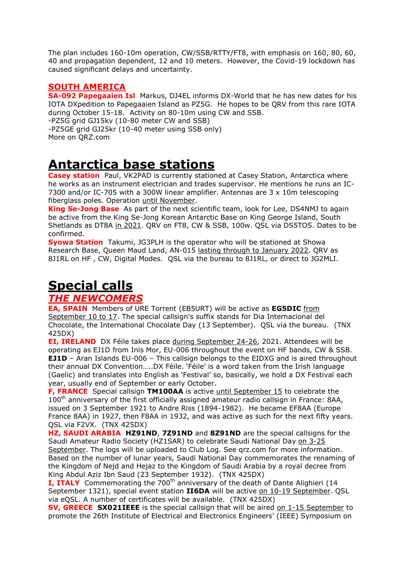The plan includes 160-10m operation, CW/SSB/RTTY/FT8, with emphasis on 160, 80, 60, 40 and propagation dependent, 12 and 10 meters. However, the Covid-19 lockdown has caused significant delays and uncertainty.

## **SOUTH AMERICA**

**SA-092 Papegaaien Isl** Markus, DJ4EL informs DX-World that he has new dates for his IOTA DXpedition to Papegaaien Island as PZ5G. He hopes to be QRV from this rare IOTA during October 15-18. Activity on 80-10m using CW and SSB. -PZ5G grid GJ15kv (10-80 meter CW and SSB) -PZ5GE grid GJ25kr (10-40 meter using SSB only) More on QRZ.com

# **Antarctica base stations**

**Casey station** Paul, VK2PAD is currently stationed at Casey [Station,](https://www.antarctica.gov.au/antarctic-operations/webcams/casey/) Antarctica where he works as an instrument electrician and trades supervisor. He mentions he runs an IC-7300 and/or IC-705 with a 300W linear amplifier. Antennas are 3 x 10m telescoping fiberglass poles. Operation until November.

**King Se-Jong Base** As part of the next scientific team, look for Lee, DS4NMJ to again be active from the King Se-Jong Korean Antarctic Base on King George Island, South Shetlands as DT8A in 2021. QRV on FT8, CW & SSB, 100w. QSL via DS5TOS. Dates to be confirmed.

**Syowa Station** Takumi, JG3PLH is the operator who will be stationed at Showa Research Base, Queen Maud Land, AN-015 lasting through to January 2022. QRV as 8J1RL on HF , CW, Digital Modes. QSL via the bureau to 8J1RL, or direct to JG2MLI.

# **Special calls**

## *THE NEWCOMERS*

**EA, SPAIN** Members of URE Torrent (EB5URT) will be active as **EG5DIC** from September 10 to 17. The special callsign's suffix stands for Dia Internacional del Chocolate, the International Chocolate Day (13 September). QSL via the bureau. (TNX 425DX)

**EI, IRELAND** DX [Féile](https://eidxg.com/dx-feile-21/) takes place during September 24-26, 2021. Attendees will be operating as EJ1D from Inis Mor, EU-006 throughout the event on HF bands, CW & SSB. **EJ1D** – Aran Islands EU-006 – This callsign belongs to the EIDXG and is aired throughout their annual DX Convention…..DX Féile. 'Féile' is a word taken from the Irish language (Gaelic) and translates into English as 'Festival' so, basically, we hold a DX Festival each year, usually end of September or early October.

**F, FRANCE** Special callsign TM100AA is active until September 15 to celebrate the  $100<sup>th</sup>$  anniversary of the first officially assigned amateur radio callsign in France: 8AA, issued on 3 September 1921 to Andre Riss (1894-1982). He became EF8AA (Europe France 8AA) in 1927, then F8AA in 1932, and was active as such for the next fifty years. QSL via F2VX. (TNX 425DX)

**HZ, SAUDI ARABIA HZ91ND**, **7Z91ND** and **8Z91ND** are the special callsigns for the Saudi Amateur Radio Society (HZ1SAR) to celebrate Saudi National Day on 3-25 September. The logs will be uploaded to Club Log. See qrz.com for more information. Based on the number of lunar years, Saudi National Day commemorates the renaming of the Kingdom of Nejd and Hejaz to the Kingdom of Saudi Arabia by a royal decree from King Abdul Aziz Ibn Saud (23 September 1932). (TNX 425DX)

**I, ITALY** Commemorating the 700<sup>th</sup> anniversary of the death of Dante Alighieri (14 September 1321), special event station **II6DA** will be active on 10-19 September. QSL via eQSL. A number of certificates will be available. (TNX 425DX)

**SV, GREECE SX021IEEE** is the special callsign that will be aired on 1-15 September to promote the 26th Institute of Electrical and Electronics Engineers' (IEEE) Symposium on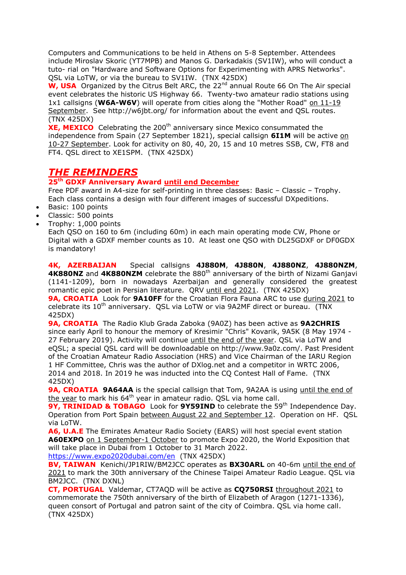Computers and Communications to be held in Athens on 5-8 September. Attendees include Miroslav Skoric (YT7MPB) and Manos G. Darkadakis (SV1IW), who will conduct a tuto- rial on "Hardware and Software Options for Experimenting with APRS Networks". QSL via LoTW, or via the bureau to SV1IW. (TNX 425DX)

**W, USA** Organized by the Citrus Belt ARC, the 22<sup>nd</sup> annual Route 66 On The Air special event celebrates the historic US Highway 66. Twenty-two amateur radio stations using 1x1 callsigns (**W6A-W6V**) will operate from cities along the "Mother Road" on 11-19 September. See http://w6jbt.org/ for information about the event and QSL routes. (TNX 425DX)

**XE, MEXICO** Celebrating the 200<sup>th</sup> anniversary since Mexico consummated the independence from Spain (27 September 1821), special callsign **6I1M** will be active on 10-27 September. Look for activity on 80, 40, 20, 15 and 10 metres SSB, CW, FT8 and FT4. QSL direct to XE1SPM. (TNX 425DX)

## *THE REMINDERS*

### **25th GDXF Anniversary Award until end December**

Free PDF award in A4-size for self-printing in three classes: Basic – Classic – Trophy. Each class contains a design with four different images of successful DXpeditions.

- Basic: 100 points
- Classic: 500 points
- Trophy: 1,000 points

Each QSO on 160 to 6m (including 60m) in each main operating mode CW, Phone or Digital with a GDXF member counts as 10. At least one QSO with DL25GDXF or DF0GDX is mandatory!

**4K, AZERBAIJAN** Special callsigns **4J880M**, **4J880N**, **4J880NZ**, **4J880NZM**, **4K880NZ** and **4K880NZM** celebrate the 880<sup>th</sup> anniversary of the birth of Nizami Ganjavi (1141-1209), born in nowadays Azerbaijan and generally considered the greatest romantic epic poet in Persian literature. QRV until end 2021. (TNX 425DX) **9A, CROATIA** Look for **9A10FF** for the Croatian Flora Fauna ARC to use during 2021 to celebrate its  $10^{th}$  anniversary. QSL via LoTW or via 9A2MF direct or bureau. (TNX 425DX)

**9A, CROATIA** The Radio Klub Grada Zaboka (9A0Z) has been active as **9A2CHRIS** since early April to honour the memory of Kresimir "Chris" Kovarik, 9A5K (8 May 1974 - 27 February 2019). Activity will continue until the end of the year. QSL via LoTW and eQSL; a special QSL card will be downloadable on http://www.9a0z.com/. Past President of the Croatian Amateur Radio Association (HRS) and Vice Chairman of the IARU Region 1 HF Committee, Chris was the author of DXlog.net and a competitor in WRTC 2006, 2014 and 2018. In 2019 he was inducted into the CQ Contest Hall of Fame. (TNX 425DX)

**9A, CROATIA 9A64AA** is the special callsign that Tom, 9A2AA is using until the end of the year to mark his 64<sup>th</sup> year in amateur radio. QSL via home call.

9Y, TRINIDAD & TOBAGO Look for 9Y59IND to celebrate the 59<sup>th</sup> Independence Day. Operation from Port Spain between August 22 and September 12. Operation on HF. QSL via LoTW.

**A6, U.A.E** The Emirates Amateur Radio Society (EARS) will host special event station **A60EXPO** on 1 September-1 October to promote Expo 2020, the World Exposition that will take place in Dubai from 1 October to 31 March 2022.

<https://www.expo2020dubai.com/en>(TNX 425DX)

**BV, TAIWAN** Kenichi/JP1RIW/BM2JCC operates as **BX30ARL** on 40-6m until the end of 2021 to mark the 30th anniversary of the Chinese Taipei Amateur Radio League. QSL via BM2JCC. (TNX DXNL)

**CT, PORTUGAL** Valdemar, CT7AQD will be active as **CQ750RSI** throughout 2021 to commemorate the 750th anniversary of the birth of Elizabeth of Aragon (1271-1336), queen consort of Portugal and patron saint of the city of Coimbra. QSL via home call. (TNX 425DX)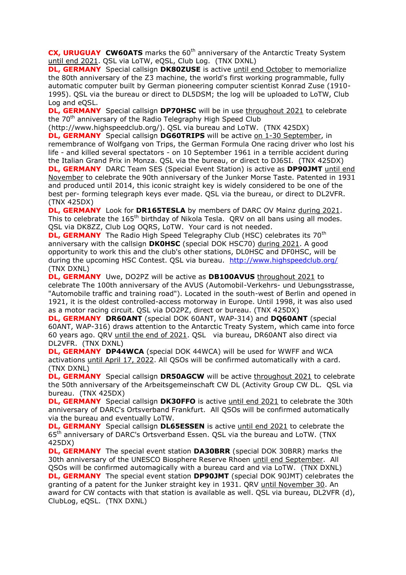**CX, URUGUAY CW60ATS** marks the 60<sup>th</sup> anniversary of the Antarctic Treaty System until end 2021. QSL via LoTW, eQSL, Club Log. (TNX DXNL)

**DL, GERMANY** Special callsign **DK80ZUSE** is active until end October to memorialize the 80th anniversary of the Z3 machine, the world's first working programmable, fully automatic computer built by German pioneering computer scientist Konrad Zuse (1910- 1995). QSL via the bureau or direct to DL5DSM; the log will be uploaded to LoTW, Club Log and eQSL.

**DL, GERMANY** Special callsign **DP70HSC** will be in use throughout 2021 to celebrate the 70<sup>th</sup> anniversary of the Radio Telegraphy High Speed Club

(http://www.highspeedclub.org/). QSL via bureau and LoTW. (TNX 425DX)

**DL, GERMANY** Special callsign **DG60TRIPS** will be active on 1-30 September, in remembrance of Wolfgang von Trips, the German Formula One racing driver who lost his life - and killed several spectators - on 10 September 1961 in a terrible accident during the Italian Grand Prix in Monza. QSL via the bureau, or direct to DJ6SI. (TNX 425DX) **DL, GERMANY** DARC Team SES (Special Event Station) is active as **DP90JMT** until end November to celebrate the 90th anniversary of the Junker Morse Taste. Patented in 1931 and produced until 2014, this iconic straight key is widely considered to be one of the best per- forming telegraph keys ever made. QSL via the bureau, or direct to DL2VFR. (TNX 425DX)

**DL, GERMANY** Look for **DR165TESLA** by members of DARC OV Mainz during 2021. This to celebrate the  $165<sup>th</sup>$  birthday of Nikola Tesla. QRV on all bans using all modes. QSL via DK8ZZ, Club Log OQRS, LoTW. Your card is not needed.

**DL, GERMANY** The Radio High Speed Telegraphy Club (HSC) celebrates its 70<sup>th</sup> anniversary with the callsign **DK0HSC** (special DOK HSC70) during 2021. A good opportunity to work this and the club's other stations, DL0HSC and DF0HSC, will be during the upcoming HSC Contest. QSL via bureau. <http://www.highspeedclub.org/> (TNX DXNL)

**DL, GERMANY** Uwe, DO2PZ will be active as **DB100AVUS** throughout 2021 to celebrate The 100th anniversary of the AVUS (Automobil-Verkehrs- und Uebungsstrasse, "Automobile traffic and training road"). Located in the south-west of Berlin and opened in 1921, it is the oldest controlled-access motorway in Europe. Until 1998, it was also used as a motor racing circuit. QSL via DO2PZ, direct or bureau. (TNX 425DX)

**DL, GERMANY DR60ANT** (special DOK 60ANT, WAP-314) and **DQ60ANT** (special 60ANT, WAP-316) draws attention to the Antarctic Treaty System, which came into force 60 years ago. QRV until the end of 2021. QSL via bureau, DR60ANT also direct via DL2VFR. (TNX DXNL)

**DL, GERMANY DP44WCA** (special DOK 44WCA) will be used for WWFF and WCA activations until April 17, 2022. All QSOs will be confirmed automatically with a card. (TNX DXNL)

**DL, GERMANY** Special callsign DR50AGCW will be active throughout 2021 to celebrate the 50th anniversary of the Arbeitsgemeinschaft CW DL (Activity Group CW DL. QSL via bureau. (TNX 425DX)

**DL, GERMANY** Special callsign **DK30FFO** is active until end 2021 to celebrate the 30th anniversary of DARC's Ortsverband Frankfurt. All QSOs will be confirmed automatically via the bureau and eventually LoTW.

**DL, GERMANY** Special callsign **DL65ESSEN** is active until end 2021 to celebrate the 65<sup>th</sup> anniversary of DARC's Ortsverband Essen. QSL via the bureau and LoTW. (TNX 425DX)

**DL, GERMANY** The special event station **DA30BRR** (special DOK 30BRR) marks the 30th anniversary of the UNESCO Biosphere Reserve Rhoen until end September. All QSOs will be confirmed automagically with a bureau card and via LoTW. (TNX DXNL) **DL, GERMANY** The special event station **DP90JMT** (special DOK 90JMT) celebrates the granting of a patent for the Junker straight key in 1931. QRV until November 30. An award for CW contacts with that station is available as well. QSL via bureau, DL2VFR (d), ClubLog, eQSL. (TNX DXNL)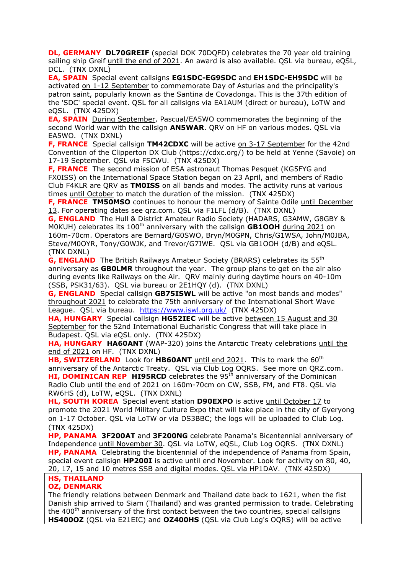**DL, GERMANY DL70GREIF** (special DOK 70DQFD) celebrates the 70 year old training sailing ship Greif until the end of 2021. An award is also available. QSL via bureau, eQSL, DCL. (TNX DXNL)

**EA, SPAIN** Special event callsigns **EG1SDC-EG9SDC** and **EH1SDC-EH9SDC** will be activated on 1-12 September to commemorate Day of Asturias and the principality's patron saint, popularly known as the Santina de Covadonga. This is the 37th edition of the 'SDC' special event. QSL for all callsigns via EA1AUM (direct or bureau), LoTW and eQSL. (TNX 425DX)

**EA, SPAIN** During September, Pascual/EA5WO commemorates the beginning of the second World war with the callsign **AN5WAR**. QRV on HF on various modes. QSL via EA5WO. (TNX DXNL)

**F, FRANCE** Special callsign TM42CDXC will be active on 3-17 September for the 42nd Convention of the Clipperton DX Club (https://cdxc.org/) to be held at Yenne (Savoie) on 17-19 September. QSL via F5CWU. (TNX 425DX)

**F, FRANCE** The second mission of ESA astronaut Thomas Pesquet (KG5FYG and FX0ISS) on the International Space Station began on 23 April, and members of Radio Club F4KLR are QRV as **TM0ISS** on all bands and modes. The activity runs at various times until October to match the duration of the mission. (TNX 425DX)

**F, FRANCE TM50MSO** continues to honour the memory of Sainte Odile until December 13. For operating dates see qrz.com. QSL via F1LFL (d/B). (TNX DXNL)

**G, ENGLAND** The Hull & District Amateur Radio Society (HADARS, G3AMW, G8GBY & M0KUH) celebrates its 100<sup>th</sup> anniversary with the callsign **GB1OOH** during 2021 on 160m-70cm. Operators are Bernard/G0SWO, Bryn/M0GPN, Chris/G1WSA, John/M0JBA, Steve/M0OYR, Tony/G0WJK, and Trevor/G7IWE. QSL via GB1OOH (d/B) and eQSL. (TNX DXNL)

**G, ENGLAND** The British Railways Amateur Society (BRARS) celebrates its 55<sup>th</sup> anniversary as **GB0LMR** throughout the year. The group plans to get on the air also during events like Railways on the Air. QRV mainly during daytime hours on 40-10m (SSB, PSK31/63). QSL via bureau or 2E1HQY (d). (TNX DXNL)

**G, ENGLAND** Special callsign **GB75ISWL** will be active "on most bands and modes" throughout 2021 to celebrate the 75th anniversary of the International Short Wave League. QSL via bureau. <https://www.iswl.org.uk/>(TNX 425DX)

**HA, HUNGARY** Special callsign **HG52IEC** will be active between 15 August and 30 September for the 52nd International Eucharistic Congress that will take place in Budapest. QSL via eQSL only. (TNX 425DX)

**HA, HUNGARY HA60ANT** (WAP-320) joins the Antarctic Treaty celebrations until the end of 2021 on HF. (TNX DXNL)

**HB, SWITZERLAND** Look for HB60ANT until end 2021. This to mark the 60<sup>th</sup> anniversary of the Antarctic Treaty. QSL via Club Log OQRS. See more on QRZ.com. **HI, DOMINICAN REP HI95RCD** celebrates the 95<sup>th</sup> anniversary of the Dominican Radio Club until the end of 2021 on 160m-70cm on CW, SSB, FM, and FT8. QSL via RW6HS (d), LoTW, eQSL. (TNX DXNL)

**HL, SOUTH KOREA** Special event station **D90EXPO** is active until October 17 to promote the 2021 World Military Culture Expo that will take place in the city of Gyeryong on 1-17 October. QSL via LoTW or via DS3BBC; the logs will be uploaded to Club Log. (TNX 425DX)

**HP, PANAMA 3F200AT** and **3F200NG** celebrate Panama's Bicentennial anniversary of Independence until November 30. QSL via LoTW, eQSL, Club Log OQRS. (TNX DXNL) **HP, PANAMA** Celebrating the bicentennial of the independence of Panama from Spain, special event callsign **HP200I** is active until end November. Look for activity on 80, 40, 20, 17, 15 and 10 metres SSB and digital modes. QSL via HP1DAV. (TNX 425DX)

#### **HS, THAILAND OZ, DENMARK**

The friendly relations between Denmark and Thailand date back to 1621, when the fist Danish ship arrived to Siam (Thailand) and was granted permission to trade. Celebrating the 400<sup>th</sup> anniversary of the first contact between the two countries, special callsigns **HS400OZ** (QSL via E21EIC) and **OZ400HS** (QSL via Club Log's OQRS) will be active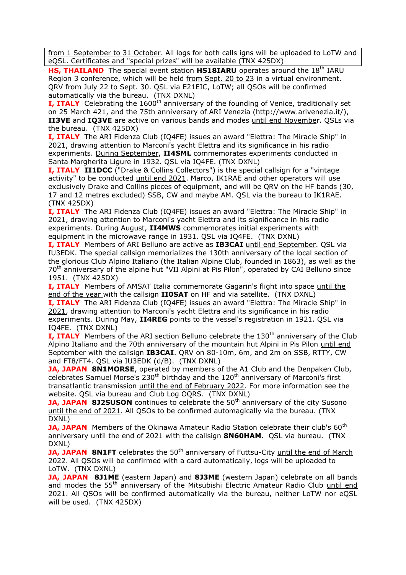from 1 September to 31 October. All logs for both calls igns will be uploaded to LoTW and eQSL. Certificates and "special prizes" will be available (TNX 425DX)

**HS, THAILAND** The special event station **HS18IARU** operates around the 18<sup>th</sup> IARU Region 3 conference, which will be held from Sept. 20 to 23 in a virtual environment. QRV from July 22 to Sept. 30. QSL via E21EIC, LoTW; all QSOs will be confirmed automatically via the bureau. (TNX DXNL)

**I. ITALY** Celebrating the 1600<sup>th</sup> anniversary of the founding of Venice, traditionally set on 25 March 421, and the 75th anniversary of ARI Venezia (http://www.arivenezia.it/), **II3VE** and **IQ3VE** are active on various bands and modes until end November. QSLs via the bureau. (TNX 425DX)

**I, ITALY** The ARI Fidenza Club (IQ4FE) issues an award "Elettra: The Miracle Ship" in 2021, drawing attention to Marconi's yacht Elettra and its significance in his radio experiments. During September, **II4SML** commemorates experiments conducted in Santa Margherita Ligure in 1932. QSL via IQ4FE. (TNX DXNL)

**I, ITALY II1DCC** ("Drake & Collins Collectors") is the special callsign for a "vintage activity" to be conducted until end 2021. Marco, IK1RAE and other operators will use exclusively Drake and Collins pieces of equipment, and will be QRV on the HF bands (30, 17 and 12 metres excluded) SSB, CW and maybe AM. QSL via the bureau to IK1RAE. (TNX 425DX)

**I, ITALY** The ARI Fidenza Club (IQ4FE) issues an award "Elettra: The Miracle Ship" in 2021, drawing attention to Marconi's yacht Elettra and its significance in his radio experiments. During August, **II4MWS** commemorates initial experiments with equipment in the microwave range in 1931. QSL via IQ4FE. (TNX DXNL)

**I, ITALY** Members of ARI Belluno are active as **IB3CAI** until end September. QSL via IU3EDK. The special callsign memorializes the 130th anniversary of the local section of the glorious Club Alpino Italiano (the Italian Alpine Club, founded in 1863), as well as the 70<sup>th</sup> anniversary of the alpine hut "VII Alpini at Pis Pilon", operated by CAI Belluno since 1951. (TNX 425DX)

**I, ITALY** Members of AMSAT Italia commemorate Gagarin's flight into space until the end of the year with the callsign **II0SAT** on HF and via satellite. (TNX DXNL)

**I, ITALY** The ARI Fidenza Club (IQ4FE) issues an award "Elettra: The Miracle Ship" in 2021, drawing attention to Marconi's yacht Elettra and its significance in his radio experiments. During May, **II4REG** points to the vessel's registration in 1921. QSL via IQ4FE. (TNX DXNL)

**I, ITALY** Members of the ARI section Belluno celebrate the 130<sup>th</sup> anniversary of the Club Alpino Italiano and the 70th anniversary of the mountain hut Alpini in Pis Pilon until end September with the callsign **IB3CAI**. QRV on 80-10m, 6m, and 2m on SSB, RTTY, CW and FT8/FT4. QSL via IU3EDK (d/B). (TNX DXNL)

**JA, JAPAN 8N1MORSE**, operated by members of the A1 Club and the Denpaken Club, celebrates Samuel Morse's 230<sup>th</sup> birthday and the  $120<sup>th</sup>$  anniversary of Marconi's first transatlantic transmission until the end of February 2022. For more information see the website. QSL via bureau and Club Log OQRS. (TNX DXNL)

**JA, JAPAN 8J2SUSON** continues to celebrate the 50<sup>th</sup> anniversary of the city Susono until the end of 2021. All QSOs to be confirmed automagically via the bureau. (TNX DXNL)

**JA, JAPAN** Members of the Okinawa Amateur Radio Station celebrate their club's 60<sup>th</sup> anniversary until the end of 2021 with the callsign **8N60HAM**. QSL via bureau. (TNX DXNL)

**JA, JAPAN 8N1FT** celebrates the 50<sup>th</sup> anniversary of Futtsu-City until the end of March 2022. All QSOs will be confirmed with a card automatically, logs will be uploaded to LoTW. (TNX DXNL)

**JA, JAPAN 8J1ME** (eastern Japan) and **8J3ME** (western Japan) celebrate on all bands and modes the 55<sup>th</sup> anniversary of the Mitsubishi Electric Amateur Radio Club until end 2021. All QSOs will be confirmed automatically via the bureau, neither LoTW nor eQSL will be used. (TNX 425DX)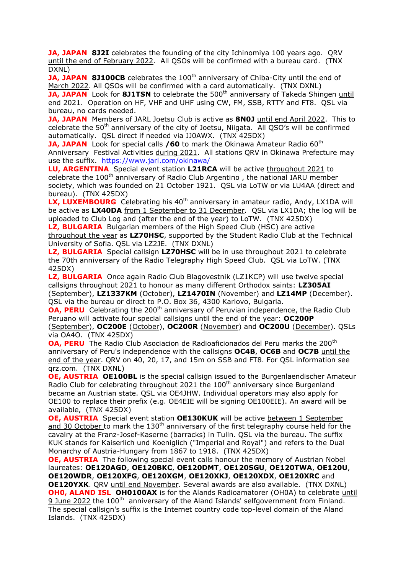**JA, JAPAN 8J2I** celebrates the founding of the city Ichinomiya 100 years ago. QRV until the end of February 2022. All QSOs will be confirmed with a bureau card. (TNX DXNL)

**JA, JAPAN 8J100CB** celebrates the 100<sup>th</sup> anniversary of Chiba-City until the end of March 2022. All QSOs will be confirmed with a card automatically. (TNX DXNL)

**JA, JAPAN** Look for 8J1TSN to celebrate the 500<sup>th</sup> anniversary of Takeda Shingen until end 2021. Operation on HF, VHF and UHF using CW, FM, SSB, RTTY and FT8. QSL via bureau, no cards needed.

**JA, JAPAN** Members of JARL Joetsu Club is active as **8N0J** until end April 2022. This to celebrate the 50<sup>th</sup> anniversary of the city of Joetsu, Niigata. All QSO's will be confirmed automatically. QSL direct if needed via JJ0AWX. (TNX 425DX)

**JA, JAPAN** Look for special calls /60 to mark the Okinawa Amateur Radio 60<sup>th</sup> Anniversary Festival Activities during 2021. All stations QRV in Okinawa Prefecture may use the suffix. <https://www.jarl.com/okinawa/>

**LU, ARGENTINA** Special event station **L21RCA** will be active throughout 2021 to celebrate the 100<sup>th</sup> anniversary of Radio Club Argentino, the national IARU member society, which was founded on 21 October 1921. QSL via LoTW or via LU4AA (direct and bureau). (TNX 425DX)

LX, LUXEMBOURG Celebrating his 40<sup>th</sup> anniversary in amateur radio, Andy, LX1DA will be active as **LX40DA** from 1 September to 31 December. QSL via LX1DA; the log will be uploaded to Club Log and (after the end of the year) to LoTW. (TNX 425DX)

**LZ, BULGARIA** Bulgarian members of the High Speed Club (HSC) are active throughout the year as **LZ70HSC**, supported by the Student Radio Club at the Technical University of Sofia. QSL via LZ2JE. (TNX DXNL)

**LZ, BULGARIA** Special callsign **LZ70HSC** will be in use throughout 2021 to celebrate the 70th anniversary of the Radio Telegraphy High Speed Club. QSL via LoTW. (TNX 425DX)

LZ, BULGARIA Once again Radio Club Blagovestnik (LZ1KCP) will use twelve special callsigns throughout 2021 to honour as many different Orthodox saints: **LZ305AI** (September), **LZ1337KM** (October), **LZ1470IN** (November) and **LZ14MP** (December). QSL via the bureau or direct to P.O. Box 36, 4300 Karlovo, Bulgaria.

**OA, PERU** Celebrating the 200<sup>th</sup> anniversary of Peruvian independence, the Radio Club Peruano will activate four special callsigns until the end of the year: **OC200P** 

(September), **OC200E** (October), **OC200R** (November) and **OC200U** (December). QSLs via OA4O. (TNX 425DX)

**OA, PERU** The Radio Club Asociacion de Radioaficionados del Peru marks the 200<sup>th</sup> anniversary of Peru's independence with the callsigns **OC4B**, **OC6B** and **OC7B** until the end of the year. QRV on 40, 20, 17, and 15m on SSB and FT8. For QSL information see qrz.com. (TNX DXNL)

**OE, AUSTRIA OE100BL** is the special callsign issued to the Burgenlaendischer Amateur Radio Club for celebrating throughout 2021 the 100<sup>th</sup> anniversary since Burgenland became an Austrian state. QSL via OE4JHW. Individual operators may also apply for OE100 to replace their prefix (e.g. OE4EIE will be signing OE100EIE). An award will be available, (TNX 425DX)

**OE, AUSTRIA** Special event station **OE130KUK** will be active between 1 September and 30 October to mark the 130<sup>th</sup> anniversary of the first telegraphy course held for the cavalry at the Franz-Josef-Kaserne (barracks) in Tulln. QSL via the bureau. The suffix KUK stands for Kaiserlich und Koeniglich ("Imperial and Royal") and refers to the Dual Monarchy of Austria-Hungary from 1867 to 1918. (TNX 425DX)

**OE, AUSTRIA** The following special event calls honour the memory of Austrian Nobel laureates: **OE120AGD**, **OE120BKC**, **OE120DMT**, **OE120SGU**, **OE120TWA**, **OE120U**, **OE120WDR**, **OE120XFG**, **OE120XGM**, **OE120XKJ**, **OE120XDX**, **OE120XRC** and **OE120YXK**. QRV until end November. Several awards are also available. (TNX DXNL) **OH0, ALAND ISL OH0100AX** is for the Alands Radioamatorer (OH0A) to celebrate until 9 June 2022 the 100<sup>th</sup> anniversary of the Aland Islands' selfgovernment from Finland. The special callsign's suffix is the Internet country code top-level domain of the Aland Islands. (TNX 425DX)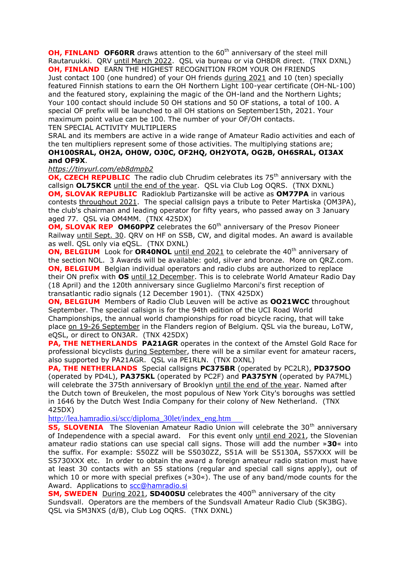**OH, FINLAND OF60RR** draws attention to the 60<sup>th</sup> anniversary of the steel mill Rautaruukki. QRV until March 2022. QSL via bureau or via OH8DR direct. (TNX DXNL) **OH, FINLAND** EARN THE HIGHEST RECOGNITION FROM YOUR OH FRIENDS

Just contact 100 (one hundred) of your OH friends during 2021 and 10 (ten) specially featured Finnish stations to earn the OH Northern Light 100-year certificate (OH-NL-100) and the featured story, explaining the magic of the OH-land and the Northern Lights; Your 100 contact should include 50 OH stations and 50 OF stations, a total of 100. A special OF prefix will be launched to all OH stations on September15th, 2021. Your maximum point value can be 100. The number of your OF/OH contacts. TEN SPECIAL ACTIVITY MULTIPLIERS

SRAL and its members are active in a wide range of Amateur Radio activities and each of the ten multipliers represent some of those activities. The multiplying stations are; **OH100SRAL, OH2A, OH0W, OJ0C, OF2HQ, OH2YOTA, OG2B, OH6SRAL, OI3AX and OF9X**.

#### *<https://tinyurl.com/eb8dmpb2>*

**OK, CZECH REPUBLIC** The radio club Chrudim celebrates its 75<sup>th</sup> anniversary with the callsign **OL75KCR** until the end of the year. QSL via Club Log OQRS. (TNX DXNL) **OM, SLOVAK REPUBLIC** Radioklub Partizanske will be active as **OM77PA** in various contests throughout 2021. The special callsign pays a tribute to Peter Martiska (OM3PA), the club's chairman and leading operator for fifty years, who passed away on 3 January aged 77. QSL via OM4MM. (TNX 425DX)

**OM, SLOVAK REP OM60PPZ** celebrates the 60<sup>th</sup> anniversary of the Presov Pioneer Railway until Sept. 30. QRV on HF on SSB, CW, and digital modes. An award is available as well. QSL only via eQSL. (TNX DXNL)

**ON, BELGIUM** Look for **OR40NOL** until end 2021 to celebrate the 40<sup>th</sup> anniversary of the section NOL. 3 Awards will be available: gold, silver and bronze. More on QRZ.com. **ON, BELGIUM** Belgian individual operators and radio clubs are authorized to replace their ON prefix with **OS** until 12 December. This is to celebrate World Amateur Radio Day (18 April) and the 120th anniversary since Guglielmo Marconi's first reception of transatlantic radio signals (12 December 1901). (TNX 425DX)

**ON, BELGIUM** Members of Radio Club Leuven will be active as **OO21WCC** throughout September. The special callsign is for the 94th edition of the UCI Road World Championships, the annual world championships for road bicycle racing, that will take place on 19-26 September in the Flanders region of Belgium. QSL via the bureau, LoTW, eQSL, or direct to ON3AR. (TNX 425DX)

**PA, THE NETHERLANDS PA21AGR** operates in the context of the Amstel Gold Race for professional bicyclists during September, there will be a similar event for amateur racers, also supported by PA21AGR. QSL via PE1RLN. (TNX DXNL)

**PA, THE NETHERLANDS** Special callsigns **PC375BR** (operated by PC2LR), **PD375OO** (operated by PD4L), **PA375KL** (operated by PC2F) and **PA375YN** (operated by PA7ML) will celebrate the 375th anniversary of Brooklyn until the end of the year. Named after the Dutch town of Breukelen, the most populous of New York City's boroughs was settled in 1646 by the Dutch West India Company for their colony of New Netherland. (TNX 425DX)

[http://lea.hamradio.si/scc/diploma\\_30let/index\\_eng.htm](http://lea.hamradio.si/scc/diploma_30let/index_eng.htm)

**S5, SLOVENIA** The Slovenian Amateur Radio Union will celebrate the 30<sup>th</sup> anniversary of Independence with a special award. For this event only until end 2021, the Slovenian amateur radio stations can use special call signs. Those will add the number »**30**« into the suffix. For example: S50ZZ will be S5030ZZ, S51A will be S5130A, S57XXX will be S5730XXX etc. In order to obtain the award a foreign amateur radio station must have at least 30 contacts with an S5 stations (regular and special call signs apply), out of which 10 or more with special prefixes (»30«). The use of any band/mode counts for the Award. Applications to [scc@hamradio.si](mailto:scc@hamradio.si)

**SM, SWEDEN** During 2021, **SD400SU** celebrates the 400<sup>th</sup> anniversary of the city Sundsvall. Operators are the members of the Sundsvall Amateur Radio Club (SK3BG). QSL via SM3NXS (d/B), Club Log OQRS. (TNX DXNL)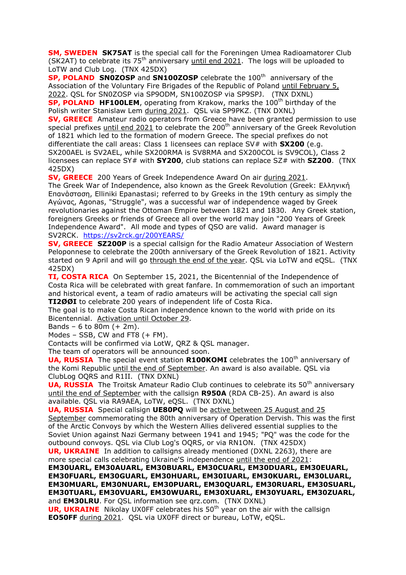**SM, SWEDEN SK75AT** is the special call for the Foreningen Umea Radioamatorer Club (SK2AT) to celebrate its  $75<sup>th</sup>$  anniversary until end 2021. The logs will be uploaded to LoTW and Club Log. (TNX 425DX)

**SP, POLAND SN0ZOSP** and **SN100ZOSP** celebrate the 100<sup>th</sup> anniversary of the Association of the Voluntary Fire Brigades of the Republic of Poland until February 5, 2022. QSL for SN0ZOSP via SP9ODM, SN100ZOSP via SP9SPJ. (TNX DXNL)

**SP, POLAND HF100LEM**, operating from Krakow, marks the 100<sup>th</sup> birthday of the Polish writer Stanislaw Lem during 2021. QSL via SP9PKZ. (TNX DXNL)

**SV, GREECE** Amateur radio operators from Greece have been granted permission to use special prefixes until end 2021 to celebrate the  $200<sup>th</sup>$  anniversary of the Greek Revolution of 1821 which led to the formation of modern Greece. The special prefixes do not differentiate the call areas: Class 1 licensees can replace SV# with **SX200** (e.g. SX200AEL is SV2AEL, while SX200RMA is SV8RMA and SX200COL is SV9COL), Class 2 licensees can replace SY# with **SY200**, club stations can replace SZ# with **SZ200**. (TNX 425DX)

**SV, GREECE** 200 Years of Greek Independence Award On air during 2021.

The Greek War of Independence, also known as the Greek Revolution (Greek: Ελληνική Επανάσταση, Elliniki Epanastasi; referred to by Greeks in the 19th century as simply the Αγώνας, Agonas, "Struggle", was a successful war of independence waged by Greek revolutionaries against the Ottoman Empire between 1821 and 1830. Any Greek station, foreigners Greeks or friends of Greece all over the world may join "200 Years of Greek Independence Award". All mode and types of QSO are valid. Award manager is SV2RCK. <https://sv2rck.gr/200YEARS/>

**SV, GREECE SZ200P** is a special callsign for the Radio Amateur Association of Western Peloponnese to celebrate the 200th anniversary of the Greek Revolution of 1821. Activity started on 9 April and will go through the end of the year. QSL via LoTW and eQSL. (TNX 425DX)

**TI, COSTA RICA** On September 15, 2021, the Bicentennial of the Independence of Costa Rica will be celebrated with great fanfare. In commemoration of such an important and historical event, a team of radio amateurs will be activating the special call sign **TI2ØØI** to celebrate 200 years of independent life of Costa Rica.

The goal is to make Costa Rican independence known to the world with pride on its Bicentennial. Activation until October 29.

Bands – 6 to 80m  $(+ 2m)$ .

Modes  $-$  SSB, CW and FT8  $(+$  FM).

Contacts will be confirmed via LotW, QRZ & QSL manager.

The team of operators will be announced soon.

**UA, RUSSIA** The special event station **R100KOMI** celebrates the 100<sup>th</sup> anniversary of the Komi Republic *until the end of September*. An award is also available. QSL via ClubLog OQRS and R1II. (TNX DXNL)

**UA, RUSSIA** The Troitsk Amateur Radio Club continues to celebrate its 50<sup>th</sup> anniversary until the end of September with the callsign **R950A** (RDA CB-25). An award is also available. QSL via RA9AEA, LoTW, eQSL. (TNX DXNL)

**UA, RUSSIA** Special callsign **UE80PQ** will be active between 25 August and 25 September commemorating the 80th anniversary of Operation Dervish. This was the first of the Arctic Convoys by which the Western Allies delivered essential supplies to the Soviet Union against Nazi Germany between 1941 and 1945; "PQ" was the code for the outbound convoys. QSL via Club Log's OQRS, or via RN1ON. (TNX 425DX)

**UR, UKRAINE** In addition to callsigns already mentioned (DXNL 2263), there are more special calls celebrating Ukraine'S independence until the end of 2021:

**EM30UARL, EM30AUARL, EM30BUARL, EM30CUARL, EM30DUARL, EM30EUARL, EM30FUARL, EM30GUARL, EM30HUARL, EM30IUARL, EM30KUARL, EM30LUARL, EM30MUARL, EM30NUARL, EM30PUARL, EM30QUARL, EM30RUARL, EM30SUARL, EM30TUARL, EM30VUARL, EM30WUARL, EM30XUARL, EM30YUARL, EM30ZUARL,**  and **EM30LRU**. For QSL information see qrz.com. (TNX DXNL)

**UR, UKRAINE** Nikolay UX0FF celebrates his 50<sup>th</sup> year on the air with the callsign **EO50FF** during 2021. QSL via UX0FF direct or bureau, LoTW, eQSL.